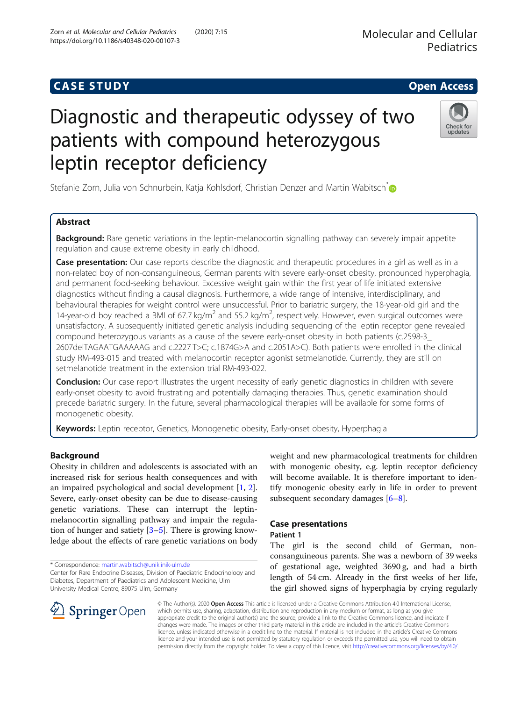# **CASE STUDY CASE STUDY Open Access**

# Diagnostic and therapeutic odyssey of two patients with compound heterozygous leptin receptor deficiency

Stefanie Zorn, Julia von Schnurbein, Katja Kohlsdorf, Christian Denzer and Martin Wabitsch<sup>\*</sup>

## Abstract

**Background:** Rare genetic variations in the leptin-melanocortin signalling pathway can severely impair appetite regulation and cause extreme obesity in early childhood.

Case presentation: Our case reports describe the diagnostic and therapeutic procedures in a girl as well as in a non-related boy of non-consanguineous, German parents with severe early-onset obesity, pronounced hyperphagia, and permanent food-seeking behaviour. Excessive weight gain within the first year of life initiated extensive diagnostics without finding a causal diagnosis. Furthermore, a wide range of intensive, interdisciplinary, and behavioural therapies for weight control were unsuccessful. Prior to bariatric surgery, the 18-year-old girl and the 14-year-old boy reached a BMI of 67.7 kg/m<sup>2</sup> and 55.2 kg/m<sup>2</sup>, respectively. However, even surgical outcomes were unsatisfactory. A subsequently initiated genetic analysis including sequencing of the leptin receptor gene revealed compound heterozygous variants as a cause of the severe early-onset obesity in both patients (c.2598-3\_ 2607delTAGAATGAAAAAG and c.2227 T>C; c.1874G>A and c.2051A>C). Both patients were enrolled in the clinical study RM-493-015 and treated with melanocortin receptor agonist setmelanotide. Currently, they are still on setmelanotide treatment in the extension trial RM-493-022.

Conclusion: Our case report illustrates the urgent necessity of early genetic diagnostics in children with severe early-onset obesity to avoid frustrating and potentially damaging therapies. Thus, genetic examination should precede bariatric surgery. In the future, several pharmacological therapies will be available for some forms of monogenetic obesity.

Keywords: Leptin receptor, Genetics, Monogenetic obesity, Early-onset obesity, Hyperphagia

## Background

Obesity in children and adolescents is associated with an increased risk for serious health consequences and with an impaired psychological and social development [\[1,](#page-6-0) [2](#page-6-0)]. Severe, early-onset obesity can be due to disease-causing genetic variations. These can interrupt the leptinmelanocortin signalling pathway and impair the regulation of hunger and satiety  $[3-5]$  $[3-5]$  $[3-5]$  $[3-5]$ . There is growing knowledge about the effects of rare genetic variations on body

\* Correspondence: [martin.wabitsch@uniklinik-ulm.de](mailto:martin.wabitsch@uniklinik-ulm.de)

SpringerOpen

weight and new pharmacological treatments for children with monogenic obesity, e.g. leptin receptor deficiency will become available. It is therefore important to identify monogenic obesity early in life in order to prevent subsequent secondary damages [[6](#page-6-0)–[8](#page-6-0)].

## Case presentations

Patient 1

The girl is the second child of German, nonconsanguineous parents. She was a newborn of 39 weeks of gestational age, weighted 3690 g, and had a birth length of 54 cm. Already in the first weeks of her life, the girl showed signs of hyperphagia by crying regularly

© The Author(s). 2020 Open Access This article is licensed under a Creative Commons Attribution 4.0 International License, which permits use, sharing, adaptation, distribution and reproduction in any medium or format, as long as you give appropriate credit to the original author(s) and the source, provide a link to the Creative Commons licence, and indicate if changes were made. The images or other third party material in this article are included in the article's Creative Commons licence, unless indicated otherwise in a credit line to the material. If material is not included in the article's Creative Commons licence and your intended use is not permitted by statutory regulation or exceeds the permitted use, you will need to obtain permission directly from the copyright holder. To view a copy of this licence, visit <http://creativecommons.org/licenses/by/4.0/>.



Molecular and Cellular **Pediatrics** 





Center for Rare Endocrine Diseases, Division of Paediatric Endocrinology and Diabetes, Department of Paediatrics and Adolescent Medicine, Ulm University Medical Centre, 89075 Ulm, Germany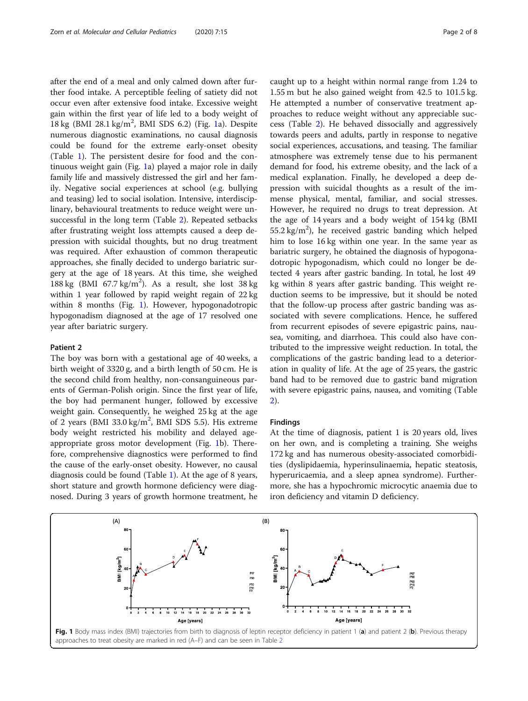<span id="page-1-0"></span>after the end of a meal and only calmed down after further food intake. A perceptible feeling of satiety did not occur even after extensive food intake. Excessive weight gain within the first year of life led to a body weight of 18 kg (BMI 28.1 kg/m<sup>2</sup>, BMI SDS 6.2) (Fig. 1a). Despite numerous diagnostic examinations, no causal diagnosis could be found for the extreme early-onset obesity (Table [1](#page-2-0)). The persistent desire for food and the continuous weight gain (Fig. 1a) played a major role in daily family life and massively distressed the girl and her family. Negative social experiences at school (e.g. bullying and teasing) led to social isolation. Intensive, interdisciplinary, behavioural treatments to reduce weight were unsuccessful in the long term (Table [2](#page-3-0)). Repeated setbacks after frustrating weight loss attempts caused a deep depression with suicidal thoughts, but no drug treatment was required. After exhaustion of common therapeutic approaches, she finally decided to undergo bariatric surgery at the age of 18 years. At this time, she weighed 188 kg (BMI  $67.7 \text{ kg/m}^2$ ). As a result, she lost 38 kg within 1 year followed by rapid weight regain of 22 kg within 8 months (Fig. 1). However, hypogonadotropic hypogonadism diagnosed at the age of 17 resolved one year after bariatric surgery.

#### Patient 2

The boy was born with a gestational age of 40 weeks, a birth weight of 3320 g, and a birth length of 50 cm. He is the second child from healthy, non-consanguineous parents of German-Polish origin. Since the first year of life, the boy had permanent hunger, followed by excessive weight gain. Consequently, he weighed 25 kg at the age of 2 years (BMI  $33.0 \text{ kg/m}^2$ , BMI SDS 5.5). His extreme body weight restricted his mobility and delayed ageappropriate gross motor development (Fig. 1b). Therefore, comprehensive diagnostics were performed to find the cause of the early-onset obesity. However, no causal diagnosis could be found (Table [1\)](#page-2-0). At the age of 8 years, short stature and growth hormone deficiency were diagnosed. During 3 years of growth hormone treatment, he caught up to a height within normal range from 1.24 to 1.55 m but he also gained weight from 42.5 to 101.5 kg. He attempted a number of conservative treatment approaches to reduce weight without any appreciable success (Table [2](#page-3-0)). He behaved dissocially and aggressively towards peers and adults, partly in response to negative social experiences, accusations, and teasing. The familiar atmosphere was extremely tense due to his permanent demand for food, his extreme obesity, and the lack of a medical explanation. Finally, he developed a deep depression with suicidal thoughts as a result of the immense physical, mental, familiar, and social stresses. However, he required no drugs to treat depression. At the age of 14 years and a body weight of 154 kg (BMI  $55.2 \text{ kg/m}^2$ ), he received gastric banding which helped him to lose 16 kg within one year. In the same year as bariatric surgery, he obtained the diagnosis of hypogonadotropic hypogonadism, which could no longer be detected 4 years after gastric banding. In total, he lost 49 kg within 8 years after gastric banding. This weight reduction seems to be impressive, but it should be noted that the follow-up process after gastric banding was associated with severe complications. Hence, he suffered from recurrent episodes of severe epigastric pains, nausea, vomiting, and diarrhoea. This could also have contributed to the impressive weight reduction. In total, the complications of the gastric banding lead to a deterioration in quality of life. At the age of 25 years, the gastric band had to be removed due to gastric band migration with severe epigastric pains, nausea, and vomiting (Table [2\)](#page-3-0).

#### Findings

At the time of diagnosis, patient 1 is 20 years old, lives on her own, and is completing a training. She weighs 172 kg and has numerous obesity-associated comorbidities (dyslipidaemia, hyperinsulinaemia, hepatic steatosis, hyperuricaemia, and a sleep apnea syndrome). Furthermore, she has a hypochromic microcytic anaemia due to iron deficiency and vitamin D deficiency.

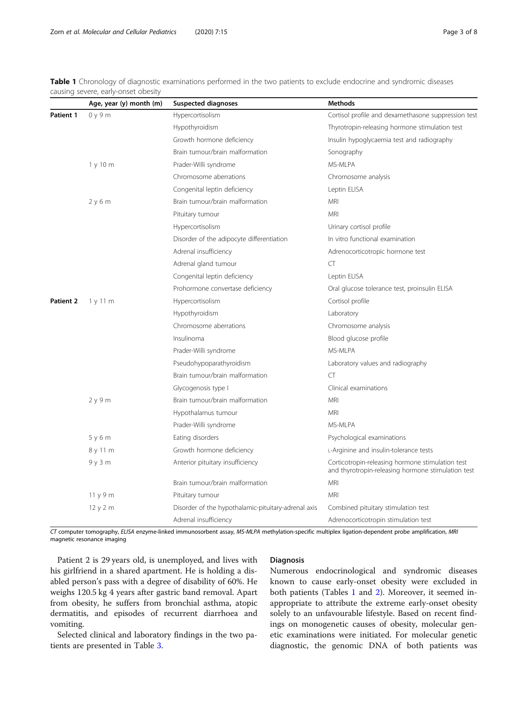<span id="page-2-0"></span>Table 1 Chronology of diagnostic examinations performed in the two patients to exclude endocrine and syndromic diseases causing severe, early-onset obesity

|           | Age, year (y) month (m) | <b>Suspected diagnoses</b>                          | <b>Methods</b>                                                                                         |  |
|-----------|-------------------------|-----------------------------------------------------|--------------------------------------------------------------------------------------------------------|--|
| Patient 1 | 0y9m                    | Hypercortisolism                                    | Cortisol profile and dexamethasone suppression test                                                    |  |
|           |                         | Hypothyroidism                                      | Thyrotropin-releasing hormone stimulation test                                                         |  |
|           |                         | Growth hormone deficiency                           | Insulin hypoglycaemia test and radiography                                                             |  |
|           |                         | Brain tumour/brain malformation                     | Sonography                                                                                             |  |
|           | 1y10m                   | Prader-Willi syndrome                               | MS-MLPA                                                                                                |  |
|           |                         | Chromosome aberrations                              | Chromosome analysis                                                                                    |  |
|           |                         | Congenital leptin deficiency                        | Leptin ELISA                                                                                           |  |
|           | 2y6m                    | Brain tumour/brain malformation                     | MRI                                                                                                    |  |
|           |                         | Pituitary tumour                                    | <b>MRI</b>                                                                                             |  |
|           |                         | Hypercortisolism                                    | Urinary cortisol profile                                                                               |  |
|           |                         | Disorder of the adipocyte differentiation           | In vitro functional examination                                                                        |  |
|           |                         | Adrenal insufficiency                               | Adrenocorticotropic hormone test                                                                       |  |
|           |                         | Adrenal gland tumour                                | CT                                                                                                     |  |
|           |                         | Congenital leptin deficiency                        | Leptin ELISA                                                                                           |  |
|           |                         | Prohormone convertase deficiency                    | Oral glucose tolerance test, proinsulin ELISA                                                          |  |
| Patient 2 | 1y11m                   | Hypercortisolism                                    | Cortisol profile                                                                                       |  |
|           |                         | Hypothyroidism                                      | Laboratory                                                                                             |  |
|           |                         | Chromosome aberrations                              | Chromosome analysis                                                                                    |  |
|           |                         | Insulinoma                                          | Blood glucose profile                                                                                  |  |
|           |                         | Prader-Willi syndrome                               | MS-MLPA                                                                                                |  |
|           |                         | Pseudohypoparathyroidism                            | Laboratory values and radiography                                                                      |  |
|           |                         | Brain tumour/brain malformation                     | CT                                                                                                     |  |
|           |                         | Glycogenosis type I                                 | Clinical examinations                                                                                  |  |
|           | 2 y 9 m                 | Brain tumour/brain malformation                     | <b>MRI</b>                                                                                             |  |
|           |                         | Hypothalamus tumour                                 | <b>MRI</b>                                                                                             |  |
|           |                         | Prader-Willi syndrome                               | MS-MLPA                                                                                                |  |
|           | 5y6m                    | Eating disorders                                    | Psychological examinations                                                                             |  |
|           | 8 y 11 m                | Growth hormone deficiency                           | L-Arginine and insulin-tolerance tests                                                                 |  |
|           | 9y3m                    | Anterior pituitary insufficiency                    | Corticotropin-releasing hormone stimulation test<br>and thyrotropin-releasing hormone stimulation test |  |
|           |                         | Brain tumour/brain malformation                     | MRI                                                                                                    |  |
|           | 11y9m                   | Pituitary tumour                                    | <b>MRI</b>                                                                                             |  |
|           | 12y2m                   | Disorder of the hypothalamic-pituitary-adrenal axis | Combined pituitary stimulation test                                                                    |  |
|           |                         | Adrenal insufficiency                               | Adrenocorticotropin stimulation test                                                                   |  |

CT computer tomography, ELISA enzyme-linked immunosorbent assay, MS-MLPA methylation-specific multiplex ligation-dependent probe amplification, MRI magnetic resonance imaging

Patient 2 is 29 years old, is unemployed, and lives with his girlfriend in a shared apartment. He is holding a disabled person's pass with a degree of disability of 60%. He weighs 120.5 kg 4 years after gastric band removal. Apart from obesity, he suffers from bronchial asthma, atopic dermatitis, and episodes of recurrent diarrhoea and vomiting.

Selected clinical and laboratory findings in the two patients are presented in Table [3.](#page-4-0)

## Diagnosis

Numerous endocrinological and syndromic diseases known to cause early-onset obesity were excluded in both patients (Tables 1 and [2\)](#page-3-0). Moreover, it seemed inappropriate to attribute the extreme early-onset obesity solely to an unfavourable lifestyle. Based on recent findings on monogenetic causes of obesity, molecular genetic examinations were initiated. For molecular genetic diagnostic, the genomic DNA of both patients was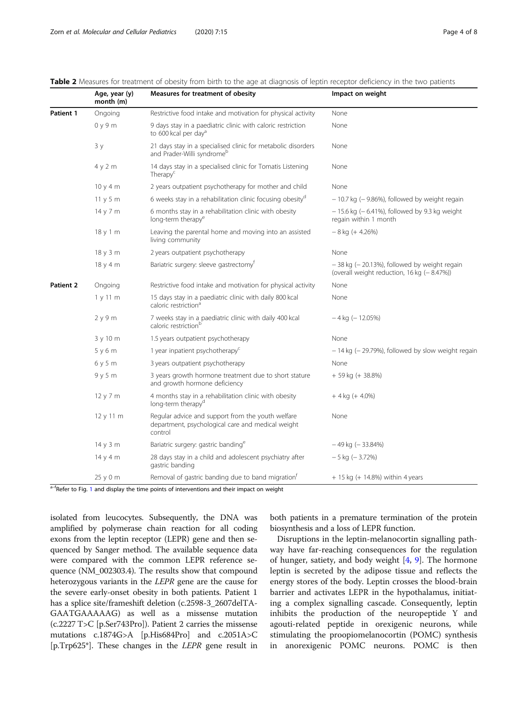|           | Age, year (y)<br>month (m) | Measures for treatment of obesity                                                                                 | Impact on weight                                                                                |
|-----------|----------------------------|-------------------------------------------------------------------------------------------------------------------|-------------------------------------------------------------------------------------------------|
| Patient 1 | Ongoing                    | Restrictive food intake and motivation for physical activity                                                      | None                                                                                            |
|           | 0y9m                       | 9 days stay in a paediatric clinic with caloric restriction<br>to 600 kcal per dav <sup>a</sup>                   | None                                                                                            |
|           | 3y                         | 21 days stay in a specialised clinic for metabolic disorders<br>and Prader-Willi syndromeb                        | None                                                                                            |
|           | 4y2m                       | 14 days stay in a specialised clinic for Tomatis Listening<br>Therapy <sup>c</sup>                                | None                                                                                            |
|           | 10y4m                      | 2 years outpatient psychotherapy for mother and child                                                             | None                                                                                            |
|           | 11y5m                      | 6 weeks stay in a rehabilitation clinic focusing obesity <sup>d</sup>                                             | $-10.7$ kg ( $-9.86$ %), followed by weight regain                                              |
|           | 14 y 7 m                   | 6 months stay in a rehabilitation clinic with obesity<br>long-term therapy <sup>e</sup>                           | $-15.6$ kg ( $-6.41$ %), followed by 9.3 kg weight<br>regain within 1 month                     |
|           | 18y1m                      | Leaving the parental home and moving into an assisted<br>living community                                         | $-8$ kg (+ 4.26%)                                                                               |
|           | 18 y 3 m                   | 2 years outpatient psychotherapy                                                                                  | None                                                                                            |
|           | 18y4m                      | Bariatric surgery: sleeve gastrectomy <sup>t</sup>                                                                | $-38$ kg ( $-20.13$ %), followed by weight regain<br>(overall weight reduction, 16 kg (-8.47%)) |
| Patient 2 | Ongoing                    | Restrictive food intake and motivation for physical activity                                                      | None                                                                                            |
|           | 1y11m                      | 15 days stay in a paediatric clinic with daily 800 kcal<br>caloric restriction <sup>a</sup>                       | None                                                                                            |
|           | 2y9m                       | 7 weeks stay in a paediatric clinic with daily 400 kcal<br>caloric restriction <sup>b</sup>                       | $-4$ kg ( $-12.05%$ )                                                                           |
|           | 3 y 10 m                   | 1.5 years outpatient psychotherapy                                                                                | None                                                                                            |
|           | 5y6m                       | 1 year inpatient psychotherapy <sup>c</sup>                                                                       | $-14$ kg ( $-29.79%$ ), followed by slow weight regain                                          |
|           | 6y5m                       | 3 years outpatient psychotherapy                                                                                  | None                                                                                            |
|           | 9y5m                       | 3 years growth hormone treatment due to short stature<br>and growth hormone deficiency                            | + 59 kg (+ 38.8%)                                                                               |
|           | 12 y 7 m                   | 4 months stay in a rehabilitation clinic with obesity<br>long-term therapy <sup>d</sup>                           | $+4$ kg (+ 4.0%)                                                                                |
|           | 12 y 11 m                  | Regular advice and support from the youth welfare<br>department, psychological care and medical weight<br>control | None                                                                                            |
|           | 14 y 3 m                   | Bariatric surgery: gastric banding <sup>e</sup>                                                                   | $-49$ kg ( $-33.84%$ )                                                                          |
|           | 14 y 4 m                   | 28 days stay in a child and adolescent psychiatry after<br>gastric banding                                        | $-5$ kg ( $-3.72%$ )                                                                            |
|           | 25 y 0 m                   | Removal of gastric banding due to band migration <sup>t</sup>                                                     | $+ 15$ kg ( $+ 14.8%$ ) within 4 years                                                          |

<span id="page-3-0"></span>Table 2 Measures for treatment of obesity from birth to the age at diagnosis of leptin receptor deficiency in the two patients

<sup>a–f</sup>Refer to Fig. [1](#page-1-0) and display the time points of interventions and their impact on weight

isolated from leucocytes. Subsequently, the DNA was amplified by polymerase chain reaction for all coding exons from the leptin receptor (LEPR) gene and then sequenced by Sanger method. The available sequence data were compared with the common LEPR reference sequence (NM\_002303.4). The results show that compound heterozygous variants in the LEPR gene are the cause for the severe early-onset obesity in both patients. Patient 1 has a splice site/frameshift deletion (c.2598-3\_2607delTA-GAATGAAAAAG) as well as a missense mutation (c.2227 T>C [p.Ser743Pro]). Patient 2 carries the missense mutations c.1874G>A [p.His684Pro] and c.2051A>C [p.Trp625\*]. These changes in the LEPR gene result in

both patients in a premature termination of the protein biosynthesis and a loss of LEPR function.

Disruptions in the leptin-melanocortin signalling pathway have far-reaching consequences for the regulation of hunger, satiety, and body weight  $[4, 9]$  $[4, 9]$  $[4, 9]$ . The hormone leptin is secreted by the adipose tissue and reflects the energy stores of the body. Leptin crosses the blood-brain barrier and activates LEPR in the hypothalamus, initiating a complex signalling cascade. Consequently, leptin inhibits the production of the neuropeptide Y and agouti-related peptide in orexigenic neurons, while stimulating the proopiomelanocortin (POMC) synthesis in anorexigenic POMC neurons. POMC is then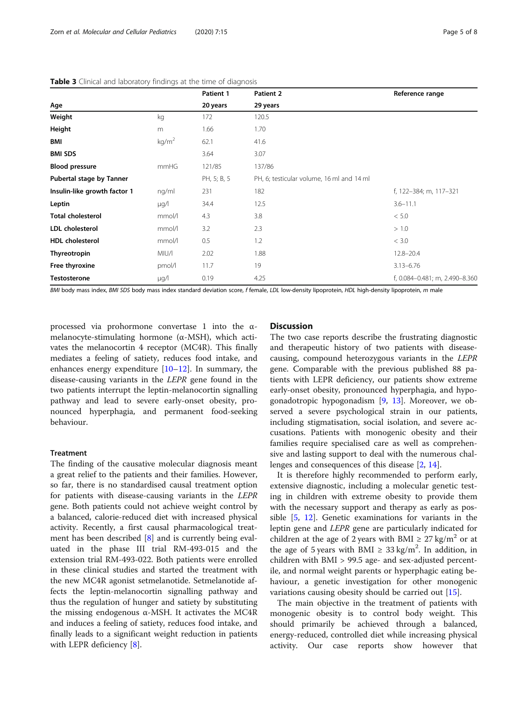|                              |                   | Patient 1   | Patient 2                                 | Reference range                |
|------------------------------|-------------------|-------------|-------------------------------------------|--------------------------------|
| Age                          |                   | 20 years    | 29 years                                  |                                |
| Weight                       | kg                | 172         | 120.5                                     |                                |
| Height                       | m                 | 1.66        | 1.70                                      |                                |
| BMI                          | kg/m <sup>2</sup> | 62.1        | 41.6                                      |                                |
| <b>BMI SDS</b>               |                   | 3.64        | 3.07                                      |                                |
| <b>Blood pressure</b>        | mmHG              | 121/85      | 137/86                                    |                                |
| Pubertal stage by Tanner     |                   | PH, 5; B, 5 | PH, 6; testicular volume, 16 ml and 14 ml |                                |
| Insulin-like growth factor 1 | ng/ml             | 231         | 182                                       | f, 122-384; m, 117-321         |
| Leptin                       | $\mu q/l$         | 34.4        | 12.5                                      | $3.6 - 11.1$                   |
| <b>Total cholesterol</b>     | mmol/l            | 4.3         | 3.8                                       | < 5.0                          |
| <b>LDL</b> cholesterol       | mmol/l            | 3.2         | 2.3                                       | > 1.0                          |
| <b>HDL</b> cholesterol       | mmol/l            | 0.5         | 1.2                                       | < 3.0                          |
| Thyreotropin                 | MIU/I             | 2.02        | 1.88                                      | 12.8-20.4                      |
| Free thyroxine               | pmol/l            | 11.7        | 19                                        | $3.13 - 6.76$                  |
| <b>Testosterone</b>          | $\mu g/l$         | 0.19        | 4.25                                      | f, 0.084-0.481; m, 2.490-8.360 |

#### <span id="page-4-0"></span>Table 3 Clinical and laboratory findings at the time of diagnosis

BMI body mass index, BMI SDS body mass index standard deviation score, f female, LDL low-density lipoprotein, HDL high-density lipoprotein, m male

processed via prohormone convertase 1 into the αmelanocyte-stimulating hormone (α-MSH), which activates the melanocortin 4 receptor (MC4R). This finally mediates a feeling of satiety, reduces food intake, and enhances energy expenditure  $[10-12]$  $[10-12]$  $[10-12]$  $[10-12]$ . In summary, the disease-causing variants in the LEPR gene found in the two patients interrupt the leptin-melanocortin signalling pathway and lead to severe early-onset obesity, pronounced hyperphagia, and permanent food-seeking behaviour.

### Treatment

The finding of the causative molecular diagnosis meant a great relief to the patients and their families. However, so far, there is no standardised causal treatment option for patients with disease-causing variants in the LEPR gene. Both patients could not achieve weight control by a balanced, calorie-reduced diet with increased physical activity. Recently, a first causal pharmacological treatment has been described [[8\]](#page-6-0) and is currently being evaluated in the phase III trial RM-493-015 and the extension trial RM-493-022. Both patients were enrolled in these clinical studies and started the treatment with the new MC4R agonist setmelanotide. Setmelanotide affects the leptin-melanocortin signalling pathway and thus the regulation of hunger and satiety by substituting the missing endogenous α-MSH. It activates the MC4R and induces a feeling of satiety, reduces food intake, and finally leads to a significant weight reduction in patients with LEPR deficiency [[8\]](#page-6-0).

## **Discussion**

The two case reports describe the frustrating diagnostic and therapeutic history of two patients with diseasecausing, compound heterozygous variants in the LEPR gene. Comparable with the previous published 88 patients with LEPR deficiency, our patients show extreme early-onset obesity, pronounced hyperphagia, and hypogonadotropic hypogonadism [[9,](#page-6-0) [13](#page-7-0)]. Moreover, we observed a severe psychological strain in our patients, including stigmatisation, social isolation, and severe accusations. Patients with monogenic obesity and their families require specialised care as well as comprehensive and lasting support to deal with the numerous challenges and consequences of this disease [\[2](#page-6-0), [14\]](#page-7-0).

It is therefore highly recommended to perform early, extensive diagnostic, including a molecular genetic testing in children with extreme obesity to provide them with the necessary support and therapy as early as possible [\[5](#page-6-0), [12](#page-6-0)]. Genetic examinations for variants in the leptin gene and LEPR gene are particularly indicated for children at the age of 2 years with BMI  $\geq$  27 kg/m<sup>2</sup> or at the age of 5 years with BMI  $\geq 33 \text{ kg/m}^2$ . In addition, in children with BMI > 99.5 age- and sex-adjusted percentile, and normal weight parents or hyperphagic eating behaviour, a genetic investigation for other monogenic variations causing obesity should be carried out [[15\]](#page-7-0).

The main objective in the treatment of patients with monogenic obesity is to control body weight. This should primarily be achieved through a balanced, energy-reduced, controlled diet while increasing physical activity. Our case reports show however that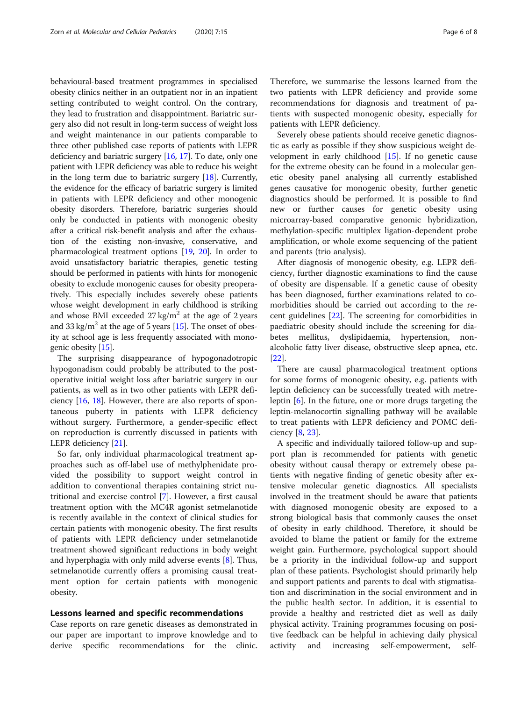behavioural-based treatment programmes in specialised obesity clinics neither in an outpatient nor in an inpatient setting contributed to weight control. On the contrary, they lead to frustration and disappointment. Bariatric surgery also did not result in long-term success of weight loss and weight maintenance in our patients comparable to three other published case reports of patients with LEPR deficiency and bariatric surgery [[16,](#page-7-0) [17\]](#page-7-0). To date, only one patient with LEPR deficiency was able to reduce his weight in the long term due to bariatric surgery [\[18](#page-7-0)]. Currently, the evidence for the efficacy of bariatric surgery is limited in patients with LEPR deficiency and other monogenic obesity disorders. Therefore, bariatric surgeries should only be conducted in patients with monogenic obesity after a critical risk-benefit analysis and after the exhaustion of the existing non-invasive, conservative, and pharmacological treatment options [[19](#page-7-0), [20\]](#page-7-0). In order to avoid unsatisfactory bariatric therapies, genetic testing should be performed in patients with hints for monogenic obesity to exclude monogenic causes for obesity preoperatively. This especially includes severely obese patients whose weight development in early childhood is striking and whose BMI exceeded  $27 \text{ kg/m}^2$  at the age of 2 years and 33 kg/m<sup>2</sup> at the age of 5 years [\[15\]](#page-7-0). The onset of obesity at school age is less frequently associated with monogenic obesity [\[15\]](#page-7-0).

The surprising disappearance of hypogonadotropic hypogonadism could probably be attributed to the postoperative initial weight loss after bariatric surgery in our patients, as well as in two other patients with LEPR deficiency [[16,](#page-7-0) [18\]](#page-7-0). However, there are also reports of spontaneous puberty in patients with LEPR deficiency without surgery. Furthermore, a gender-specific effect on reproduction is currently discussed in patients with LEPR deficiency [[21\]](#page-7-0).

So far, only individual pharmacological treatment approaches such as off-label use of methylphenidate provided the possibility to support weight control in addition to conventional therapies containing strict nutritional and exercise control [[7\]](#page-6-0). However, a first causal treatment option with the MC4R agonist setmelanotide is recently available in the context of clinical studies for certain patients with monogenic obesity. The first results of patients with LEPR deficiency under setmelanotide treatment showed significant reductions in body weight and hyperphagia with only mild adverse events [\[8](#page-6-0)]. Thus, setmelanotide currently offers a promising causal treatment option for certain patients with monogenic obesity.

#### Lessons learned and specific recommendations

Case reports on rare genetic diseases as demonstrated in our paper are important to improve knowledge and to derive specific recommendations for the clinic. Therefore, we summarise the lessons learned from the two patients with LEPR deficiency and provide some recommendations for diagnosis and treatment of patients with suspected monogenic obesity, especially for patients with LEPR deficiency.

Severely obese patients should receive genetic diagnostic as early as possible if they show suspicious weight development in early childhood  $[15]$  $[15]$ . If no genetic cause for the extreme obesity can be found in a molecular genetic obesity panel analysing all currently established genes causative for monogenic obesity, further genetic diagnostics should be performed. It is possible to find new or further causes for genetic obesity using microarray-based comparative genomic hybridization, methylation-specific multiplex ligation-dependent probe amplification, or whole exome sequencing of the patient and parents (trio analysis).

After diagnosis of monogenic obesity, e.g. LEPR deficiency, further diagnostic examinations to find the cause of obesity are dispensable. If a genetic cause of obesity has been diagnosed, further examinations related to comorbidities should be carried out according to the recent guidelines [[22\]](#page-7-0). The screening for comorbidities in paediatric obesity should include the screening for diabetes mellitus, dyslipidaemia, hypertension, nonalcoholic fatty liver disease, obstructive sleep apnea, etc. [[22\]](#page-7-0).

There are causal pharmacological treatment options for some forms of monogenic obesity, e.g. patients with leptin deficiency can be successfully treated with metreleptin [\[6](#page-6-0)]. In the future, one or more drugs targeting the leptin-melanocortin signalling pathway will be available to treat patients with LEPR deficiency and POMC deficiency [\[8](#page-6-0), [23](#page-7-0)].

A specific and individually tailored follow-up and support plan is recommended for patients with genetic obesity without causal therapy or extremely obese patients with negative finding of genetic obesity after extensive molecular genetic diagnostics. All specialists involved in the treatment should be aware that patients with diagnosed monogenic obesity are exposed to a strong biological basis that commonly causes the onset of obesity in early childhood. Therefore, it should be avoided to blame the patient or family for the extreme weight gain. Furthermore, psychological support should be a priority in the individual follow-up and support plan of these patients. Psychologist should primarily help and support patients and parents to deal with stigmatisation and discrimination in the social environment and in the public health sector. In addition, it is essential to provide a healthy and restricted diet as well as daily physical activity. Training programmes focusing on positive feedback can be helpful in achieving daily physical activity and increasing self-empowerment, self-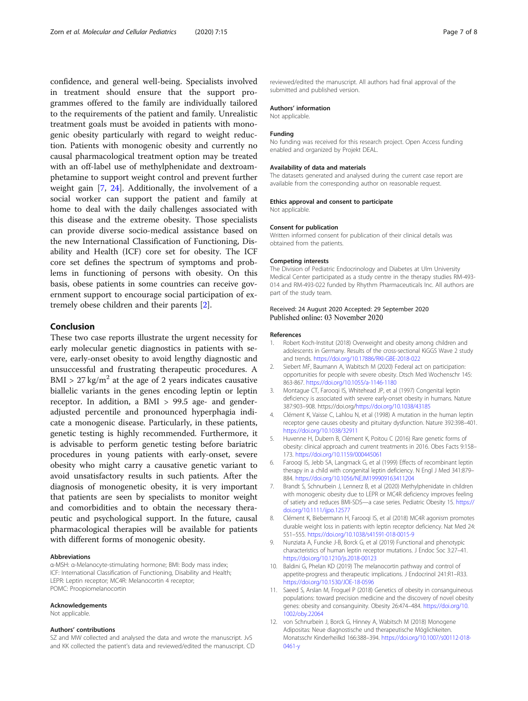<span id="page-6-0"></span>confidence, and general well-being. Specialists involved in treatment should ensure that the support programmes offered to the family are individually tailored to the requirements of the patient and family. Unrealistic treatment goals must be avoided in patients with monogenic obesity particularly with regard to weight reduction. Patients with monogenic obesity and currently no causal pharmacological treatment option may be treated with an off-label use of methylphenidate and dextroamphetamine to support weight control and prevent further weight gain [7, [24\]](#page-7-0). Additionally, the involvement of a social worker can support the patient and family at home to deal with the daily challenges associated with this disease and the extreme obesity. Those specialists can provide diverse socio-medical assistance based on the new International Classification of Functioning, Disability and Health (ICF) core set for obesity. The ICF core set defines the spectrum of symptoms and problems in functioning of persons with obesity. On this basis, obese patients in some countries can receive government support to encourage social participation of extremely obese children and their parents [2].

#### Conclusion

These two case reports illustrate the urgent necessity for early molecular genetic diagnostics in patients with severe, early-onset obesity to avoid lengthy diagnostic and unsuccessful and frustrating therapeutic procedures. A  $BMI > 27 \text{ kg/m}^2$  at the age of 2 years indicates causative biallelic variants in the genes encoding leptin or leptin receptor. In addition, a BMI > 99.5 age- and genderadjusted percentile and pronounced hyperphagia indicate a monogenic disease. Particularly, in these patients, genetic testing is highly recommended. Furthermore, it is advisable to perform genetic testing before bariatric procedures in young patients with early-onset, severe obesity who might carry a causative genetic variant to avoid unsatisfactory results in such patients. After the diagnosis of monogenetic obesity, it is very important that patients are seen by specialists to monitor weight and comorbidities and to obtain the necessary therapeutic and psychological support. In the future, causal pharmacological therapies will be available for patients with different forms of monogenic obesity.

#### Abbreviations

α-MSH: α-Melanocyte-stimulating hormone; BMI: Body mass index; ICF: International Classification of Functioning, Disability and Health; LEPR: Leptin receptor; MC4R: Melanocortin 4 receptor; POMC: Proopiomelanocortin

#### Acknowledgements

Not applicable.

#### Authors' contributions

SZ and MW collected and analysed the data and wrote the manuscript. JvS and KK collected the patient's data and reviewed/edited the manuscript. CD

reviewed/edited the manuscript. All authors had final approval of the submitted and published version.

#### Authors' information

Not applicable.

#### Funding

No funding was received for this research project. Open Access funding enabled and organized by Projekt DEAL.

#### Availability of data and materials

The datasets generated and analysed during the current case report are available from the corresponding author on reasonable request.

#### Ethics approval and consent to participate

Not applicable.

#### Consent for publication

Written informed consent for publication of their clinical details was obtained from the patients.

#### Competing interests

The Division of Pediatric Endocrinology and Diabetes at Ulm University Medical Center participated as a study centre in the therapy studies RM-493- 014 and RM-493-022 funded by Rhythm Pharmaceuticals Inc. All authors are part of the study team.

#### Received: 24 August 2020 Accepted: 29 September 2020 Published online: 03 November 2020

#### References

- 1. Robert Koch-Institut (2018) Overweight and obesity among children and adolescents in Germany. Results of the cross-sectional KiGGS Wave 2 study and trends. <https://doi.org/10.17886/RKI-GBE-2018-022>
- 2. Siebert MF, Baumann A, Wabitsch M (2020) Federal act on participation: opportunities for people with severe obesity. Dtsch Med Wochenschr 145: 863-867. <https://doi.org/10.1055/a-1146-1180>
- 3. Montague CT, Farooqi IS, Whitehead JP, et al (1997) Congenital leptin deficiency is associated with severe early-onset obesity in humans. Nature 387:903–908. https://doi.org/<https://doi.org/10.1038/43185>
- 4. Clément K, Vaisse C, Lahlou N, et al (1998) A mutation in the human leptin receptor gene causes obesity and pituitary dysfunction. Nature 392:398–401. <https://doi.org/10.1038/32911>
- 5. Huvenne H, Dubern B, Clément K, Poitou C (2016) Rare genetic forms of obesity: clinical approach and current treatments in 2016. Obes Facts 9:158– 173. <https://doi.org/10.1159/000445061>
- 6. Farooqi IS, Jebb SA, Langmack G, et al (1999) Effects of recombinant leptin therapy in a child with congenital leptin deficiency. N Engl J Med 341:879– 884. <https://doi.org/10.1056/NEJM199909163411204>
- 7. Brandt S, Schnurbein J, Lennerz B, et al (2020) Methylphenidate in children with monogenic obesity due to LEPR or MC4R deficiency improves feeling of satiety and reduces BMI-SDS—a case series. Pediatric Obesity 15. [https://](https://doi.org/10.1111/ijpo.12577) [doi.org/10.1111/ijpo.12577](https://doi.org/10.1111/ijpo.12577)
- 8. Clément K, Biebermann H, Farooqi IS, et al (2018) MC4R agonism promotes durable weight loss in patients with leptin receptor deficiency. Nat Med 24: 551–555. <https://doi.org/10.1038/s41591-018-0015-9>
- 9. Nunziata A, Funcke J-B, Borck G, et al (2019) Functional and phenotypic characteristics of human leptin receptor mutations. J Endoc Soc 3:27–41. <https://doi.org/10.1210/js.2018-00123>
- 10. Baldini G, Phelan KD (2019) The melanocortin pathway and control of appetite-progress and therapeutic implications. J Endocrinol 241:R1–R33. <https://doi.org/10.1530/JOE-18-0596>
- 11. Saeed S, Arslan M, Froguel P (2018) Genetics of obesity in consanguineous populations: toward precision medicine and the discovery of novel obesity genes: obesity and consanguinity. Obesity 26:474–484. [https://doi.org/10.](https://doi.org/10.1002/oby.22064) [1002/oby.22064](https://doi.org/10.1002/oby.22064)
- 12. von Schnurbein J, Borck G, Hinney A, Wabitsch M (2018) Monogene Adipositas: Neue diagnostische und therapeutische Möglichkeiten. Monatsschr Kinderheilkd 166:388–394. [https://doi.org/10.1007/s00112-018-](https://doi.org/10.1007/s00112-018-0461-y) [0461-y](https://doi.org/10.1007/s00112-018-0461-y)